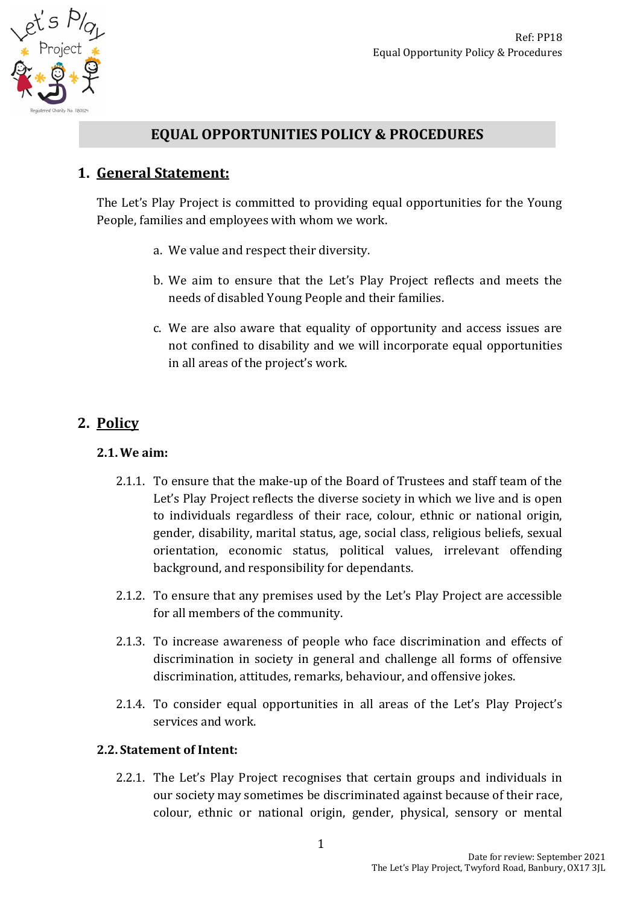

# **EQUAL OPPORTUNITIES POLICY & PROCEDURES**

## **1. General Statement:**

The Let's Play Project is committed to providing equal opportunities for the Young People, families and employees with whom we work.

- a. We value and respect their diversity.
- b. We aim to ensure that the Let's Play Project reflects and meets the needs of disabled Young People and their families.
- c. We are also aware that equality of opportunity and access issues are not confined to disability and we will incorporate equal opportunities in all areas of the project's work.

# **2. Policy**

### **2.1.We aim:**

- 2.1.1. To ensure that the make-up of the Board of Trustees and staff team of the Let's Play Project reflects the diverse society in which we live and is open to individuals regardless of their race, colour, ethnic or national origin, gender, disability, marital status, age, social class, religious beliefs, sexual orientation, economic status, political values, irrelevant offending background, and responsibility for dependants.
- 2.1.2. To ensure that any premises used by the Let's Play Project are accessible for all members of the community.
- 2.1.3. To increase awareness of people who face discrimination and effects of discrimination in society in general and challenge all forms of offensive discrimination, attitudes, remarks, behaviour, and offensive jokes.
- 2.1.4. To consider equal opportunities in all areas of the Let's Play Project's services and work.

#### **2.2. Statement of Intent:**

2.2.1. The Let's Play Project recognises that certain groups and individuals in our society may sometimes be discriminated against because of their race, colour, ethnic or national origin, gender, physical, sensory or mental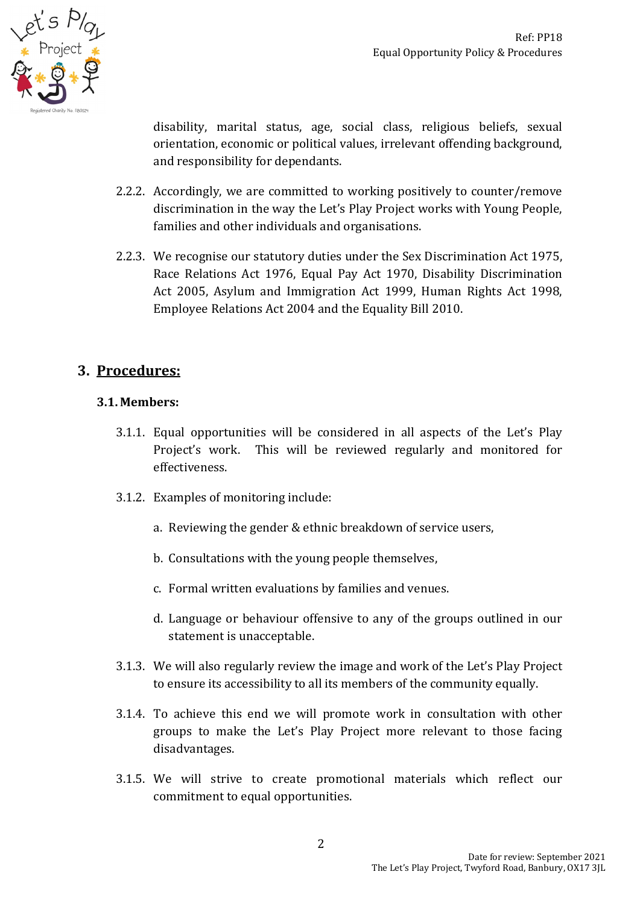

disability, marital status, age, social class, religious beliefs, sexual orientation, economic or political values, irrelevant offending background, and responsibility for dependants.

- 2.2.2. Accordingly, we are committed to working positively to counter/remove discrimination in the way the Let's Play Project works with Young People, families and other individuals and organisations.
- 2.2.3. We recognise our statutory duties under the Sex Discrimination Act 1975, Race Relations Act 1976, Equal Pay Act 1970, Disability Discrimination Act 2005, Asylum and Immigration Act 1999, Human Rights Act 1998, Employee Relations Act 2004 and the Equality Bill 2010.

# **3. Procedures:**

## **3.1. Members:**

- 3.1.1. Equal opportunities will be considered in all aspects of the Let's Play Project's work. This will be reviewed regularly and monitored for effectiveness.
- 3.1.2. Examples of monitoring include:
	- a. Reviewing the gender & ethnic breakdown of service users,
	- b. Consultations with the young people themselves,
	- c. Formal written evaluations by families and venues.
	- d. Language or behaviour offensive to any of the groups outlined in our statement is unacceptable.
- 3.1.3. We will also regularly review the image and work of the Let's Play Project to ensure its accessibility to all its members of the community equally.
- 3.1.4. To achieve this end we will promote work in consultation with other groups to make the Let's Play Project more relevant to those facing disadvantages.
- 3.1.5. We will strive to create promotional materials which reflect our commitment to equal opportunities.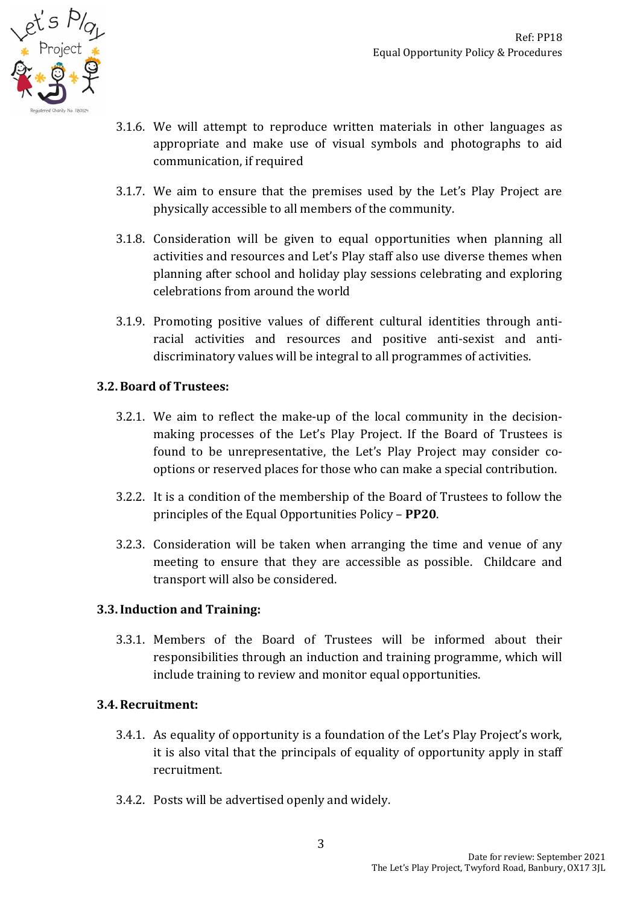

- 3.1.6. We will attempt to reproduce written materials in other languages as appropriate and make use of visual symbols and photographs to aid communication, if required
- 3.1.7. We aim to ensure that the premises used by the Let's Play Project are physically accessible to all members of the community.
- 3.1.8. Consideration will be given to equal opportunities when planning all activities and resources and Let's Play staff also use diverse themes when planning after school and holiday play sessions celebrating and exploring celebrations from around the world
- 3.1.9. Promoting positive values of different cultural identities through antiracial activities and resources and positive anti-sexist and antidiscriminatory values will be integral to all programmes of activities.

#### **3.2.Board of Trustees:**

- 3.2.1. We aim to reflect the make-up of the local community in the decisionmaking processes of the Let's Play Project. If the Board of Trustees is found to be unrepresentative, the Let's Play Project may consider cooptions or reserved places for those who can make a special contribution.
- 3.2.2. It is a condition of the membership of the Board of Trustees to follow the principles of the Equal Opportunities Policy – **PP20**.
- 3.2.3. Consideration will be taken when arranging the time and venue of any meeting to ensure that they are accessible as possible. Childcare and transport will also be considered.

#### **3.3.Induction and Training:**

3.3.1. Members of the Board of Trustees will be informed about their responsibilities through an induction and training programme, which will include training to review and monitor equal opportunities.

#### **3.4.Recruitment:**

- 3.4.1. As equality of opportunity is a foundation of the Let's Play Project's work, it is also vital that the principals of equality of opportunity apply in staff recruitment.
- 3.4.2. Posts will be advertised openly and widely.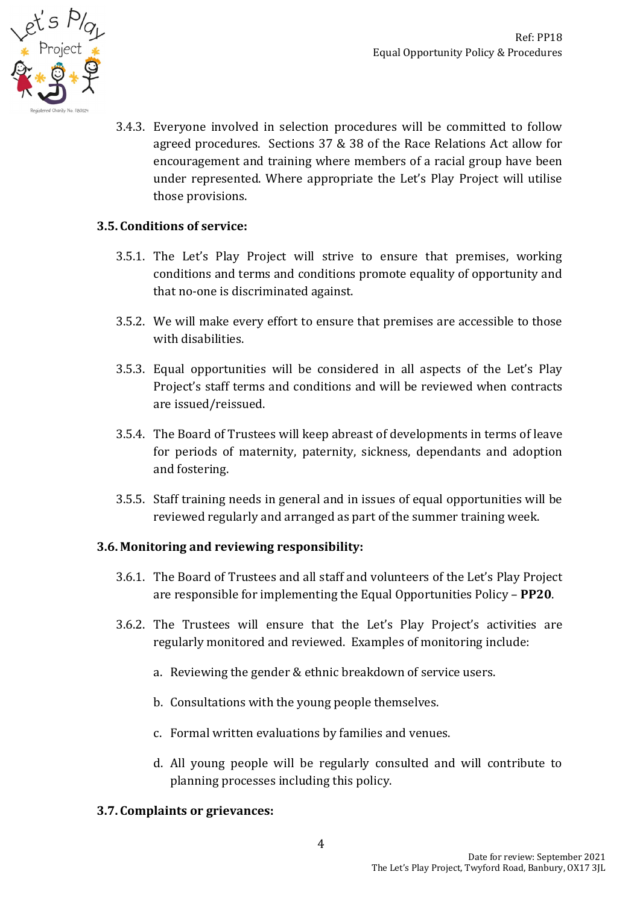

3.4.3. Everyone involved in selection procedures will be committed to follow agreed procedures. Sections 37 & 38 of the Race Relations Act allow for encouragement and training where members of a racial group have been under represented. Where appropriate the Let's Play Project will utilise those provisions.

### **3.5. Conditions of service:**

- 3.5.1. The Let's Play Project will strive to ensure that premises, working conditions and terms and conditions promote equality of opportunity and that no-one is discriminated against.
- 3.5.2. We will make every effort to ensure that premises are accessible to those with disabilities.
- 3.5.3. Equal opportunities will be considered in all aspects of the Let's Play Project's staff terms and conditions and will be reviewed when contracts are issued/reissued.
- 3.5.4. The Board of Trustees will keep abreast of developments in terms of leave for periods of maternity, paternity, sickness, dependants and adoption and fostering.
- 3.5.5. Staff training needs in general and in issues of equal opportunities will be reviewed regularly and arranged as part of the summer training week.

#### **3.6. Monitoring and reviewing responsibility:**

- 3.6.1. The Board of Trustees and all staff and volunteers of the Let's Play Project are responsible for implementing the Equal Opportunities Policy – **PP20**.
- 3.6.2. The Trustees will ensure that the Let's Play Project's activities are regularly monitored and reviewed. Examples of monitoring include:
	- a. Reviewing the gender & ethnic breakdown of service users.
	- b. Consultations with the young people themselves.
	- c. Formal written evaluations by families and venues.
	- d. All young people will be regularly consulted and will contribute to planning processes including this policy.

#### **3.7. Complaints or grievances:**